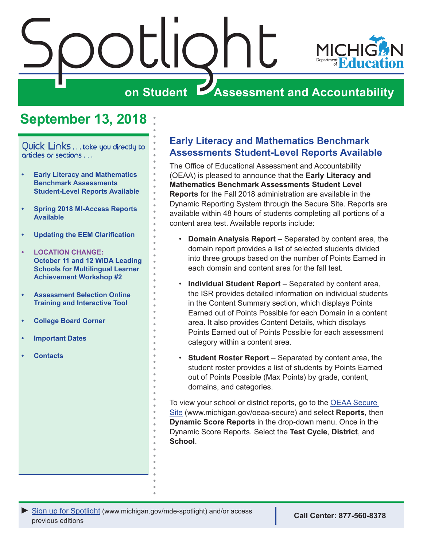<span id="page-0-0"></span>

# **September 13, 2018**

Quick Links . . . take you directly to articles or sections . . .

- **• Early Literacy and Mathematics Benchmark Assessments Student-Level Reports Available**
- **• [Spring 2018 MI-Access Reports](#page-1-0)  [Available](#page-1-0)**
- **• [Updating the EEM Clarification](#page-2-0)**
- **• [LOCATION CHANGE:](#page-2-0)  [October 11 and 12 WIDA Leading](#page-2-0)  [Schools for Multilingual Learner](#page-2-0)  [Achievement Workshop #2](#page-2-0)**
- **• [Assessment Selection Online](#page-3-0)  [Training and Interactive Tool](#page-3-0)**
- **• [College Board Corner](#page-4-0)**
- **• [Important Dates](#page-6-0)**
- **• [Contacts](#page-7-0)**

### **Early Literacy and Mathematics Benchmark Assessments Student-Level Reports Available**

The Office of Educational Assessment and Accountability (OEAA) is pleased to announce that the **Early Literacy and Mathematics Benchmark Assessments Student Level Reports** for the Fall 2018 administration are available in the Dynamic Reporting System through the Secure Site. Reports are available within 48 hours of students completing all portions of a content area test. Available reports include:

- **Domain Analysis Report** Separated by content area, the domain report provides a list of selected students divided into three groups based on the number of Points Earned in each domain and content area for the fall test.
- **Individual Student Report**  Separated by content area, the ISR provides detailed information on individual students in the Content Summary section, which displays Points Earned out of Points Possible for each Domain in a content area. It also provides Content Details, which displays Points Earned out of Points Possible for each assessment category within a content area.
- **Student Roster Report** Separated by content area, the student roster provides a list of students by Points Earned out of Points Possible (Max Points) by grade, content, domains, and categories.

To view your school or district reports, go to the [OEAA Secure](http://www.michigan.gov/oeaa-secure)  [Site](http://www.michigan.gov/oeaa-secure) (www.michigan.gov/oeaa-secure) and select **Reports**, then **Dynamic Score Reports** in the drop-down menu. Once in the Dynamic Score Reports. Select the **Test Cycle**, **District**, and **School**.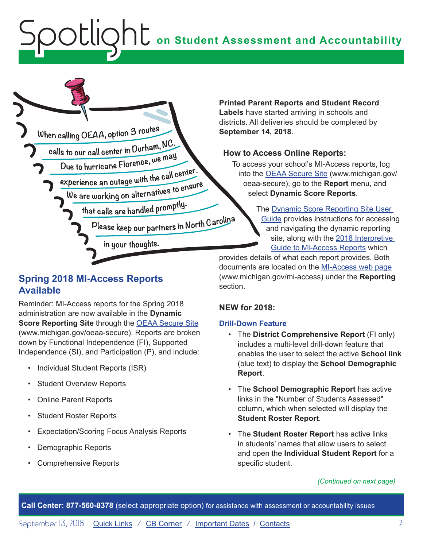<span id="page-1-0"></span>

# **Spring 2018 MI-Access Reports Available**

Reminder: MI-Access reports for the Spring 2018 administration are now available in the **Dynamic Score Reporting Site** through the [OEAA Secure Site](http://www.michigan.gov/oeaa-secure) (www.michigan.gov/oeaa-secure). Reports are broken down by Functional Independence (FI), Supported Independence (SI), and Participation (P), and include:

- Individual Student Reports (ISR)
- Student Overview Reports
- Online Parent Reports
- Student Roster Reports
- Expectation/Scoring Focus Analysis Reports
- Demographic Reports
- Comprehensive Reports

**Printed Parent Reports and Student Record Labels** have started arriving in schools and districts. All deliveries should be completed by **September 14, 2018**.

### **How to Access Online Reports:**

To access your school's MI-Access reports, log into the [OEAA Secure Site](http://www.michigan.gov/oeaa-secure) (www.michigan.gov/ oeaa-secure), go to the **Report** menu, and select **Dynamic Score Reports**.

> The [Dynamic Score Reporting Site User](https://www.michigan.gov/documents/mde/How_to_Navigate_Dynamic_Score_Reports_532306_7.pdf)  [Guide](https://www.michigan.gov/documents/mde/How_to_Navigate_Dynamic_Score_Reports_532306_7.pdf) provides instructions for accessing and navigating the dynamic reporting site, along with the [2018 Interpretive](https://www.michigan.gov/documents/mde/Interpretive_Guide_to_MI-Access_Reports_631144_7.pdf)  [Guide to MI-Access Reports](https://www.michigan.gov/documents/mde/Interpretive_Guide_to_MI-Access_Reports_631144_7.pdf) which

provides details of what each report provides. Both documents are located on the [MI-Access web page](http://www.michigan.gov/mi-access) (www.michigan.gov/mi-access) under the **Reporting** section.

### **NEW for 2018:**

### **Drill-Down Feature**

- The **District Comprehensive Report** (FI only) includes a multi-level drill-down feature that enables the user to select the active **School link** (blue text) to display the **School Demographic Report**.
- The **School Demographic Report** has active links in the "Number of Students Assessed" column, which when selected will display the **Student Roster Report**.
- The **Student Roster Report** has active links in students' names that allow users to select and open the **Individual Student Report** for a specific student.

*(Continued on next page)*

**Call Center: 877-560-8378** (select appropriate option) for assistance with assessment or accountability issues

September 13, 2018 [Quick Links](#page-0-0) / [CB Corner](#page-4-1) / [Important Dates](#page-6-1) / [Contacts](#page-7-1) 2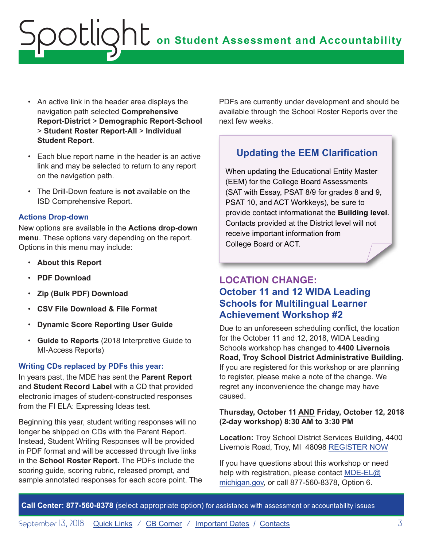- <span id="page-2-0"></span>• An active link in the header area displays the navigation path selected **Comprehensive Report-District** > **Demographic Report-School**  > **Student Roster Report-All** > **Individual Student Report**.
- Each blue report name in the header is an active link and may be selected to return to any report on the navigation path.
- The Drill-Down feature is **not** available on the ISD Comprehensive Report.

#### **Actions Drop-down**

New options are available in the **Actions drop-down menu**. These options vary depending on the report. Options in this menu may include:

- **About this Report**
- **PDF Download**
- **Zip (Bulk PDF) Download**
- **CSV File Download & File Format**
- **Dynamic Score Reporting User Guide**
- **Guide to Reports** (2018 Interpretive Guide to MI-Access Reports)

### **Writing CDs replaced by PDFs this year:**

In years past, the MDE has sent the **Parent Report** and **Student Record Label** with a CD that provided electronic images of student-constructed responses from the FI ELA: Expressing Ideas test.

Beginning this year, student writing responses will no longer be shipped on CDs with the Parent Report. Instead, Student Writing Responses will be provided in PDF format and will be accessed through live links in the **School Roster Report**. The PDFs include the scoring guide, scoring rubric, released prompt, and sample annotated responses for each score point. The PDFs are currently under development and should be available through the School Roster Reports over the next few weeks.

#### **Updating the EEM Clarification Updating the EEM Clarification**

When updating the Educational Entity Master When updating the Educational Entity Master (EEM) for the College Board Assessments (EEM) for the College Board Assessments (SAT with Essay, PSAT 8/9 for grades 8 and 9, (SAT with Essay, PSAT 8/9 for grades 8 and 9, PSAT 10, and ACT Workkeys), be sure to provide contact informationat the **Building level**. Contacts provided at the District level will not Contacts provided at the District level will not receive important information from **College Board Education** College Board or ACT.

### **LOCATION CHANGE: October 11 and 12 WIDA Leading Schools for Multilingual Learner Achievement Workshop #2**

Due to an unforeseen scheduling conflict, the location for the October 11 and 12, 2018, WIDA Leading Schools workshop has changed to **4400 Livernois Road, Troy School District Administrative Building**. If you are registered for this workshop or are planning to register, please make a note of the change. We regret any inconvenience the change may have caused.

### T**hursday, October 11 AND Friday, October 12, 2018 (2-day workshop) 8:30 AM to 3:30 PM**

**Location:** Troy School District Services Building, 4400 Livernois Road, Troy, MI 48098 [REGISTER NOW](https://www.eventbrite.com/e/leading-schools-for-multilingual-learner-achievement-registration-46676638081)

If you have questions about this workshop or need help with registration, please contact [MDE-EL@](mailto:MDE-EL%40michigan.gov?subject=) [michigan.gov,](mailto:MDE-EL%40michigan.gov?subject=) or call 877-560-8378, Option 6.

**Call Center: 877-560-8378** (select appropriate option) for assistance with assessment or accountability issues

September 13, 2018 **[Quick Links](#page-0-0)** / [CB Corner](#page-4-1) / **[Important Dates](#page-6-1) / [Contacts](#page-7-1)** 3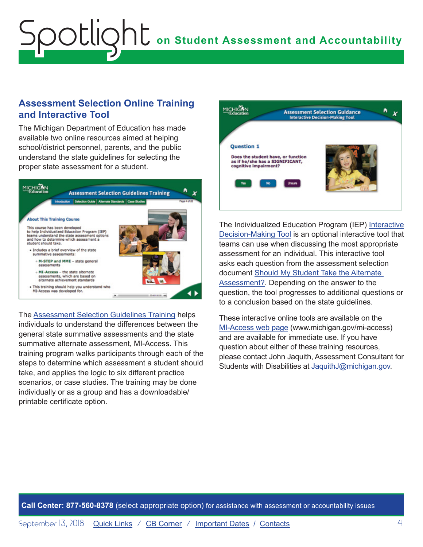### <span id="page-3-0"></span>**Assessment Selection Online Training and Interactive Tool**

The Michigan Department of Education has made available two online resources aimed at helping school/district personnel, parents, and the public understand the state guidelines for selecting the proper state assessment for a student.



The [Assessment Selection Guidelines Training](https://mdoe.state.mi.us/mdedocuments/AssessmentSelectionGuidelinesTraining/index.html) helps individuals to understand the differences between the general state summative assessments and the state summative alternate assessment, MI-Access. This training program walks participants through each of the steps to determine which assessment a student should take, and applies the logic to six different practice scenarios, or case studies. The training may be done individually or as a group and has a downloadable/ printable certificate option.



The Individualized Education Program (IEP) [Interactive](https://mdoe.state.mi.us/MDEDocuments/InteractiveDecision-MakingTool/index.html) [Decision-Making Tool](https://mdoe.state.mi.us/MDEDocuments/InteractiveDecision-MakingTool/index.html) is an optional interactive tool that teams can use when discussing the most appropriate assessment for an individual. This interactive tool asks each question from the assessment selection document [Should My Student Take the Alternate](https://www.michigan.gov/documents/mde/Should_My_Student_Take_the_Alternate_Assessment_556705_7.pdf)  [Assessment?](https://www.michigan.gov/documents/mde/Should_My_Student_Take_the_Alternate_Assessment_556705_7.pdf). Depending on the answer to the question, the tool progresses to additional questions or to a conclusion based on the state guidelines.

These interactive online tools are available on the [MI-Access web page](http://www.michigan.gov/mi-access) (www.michigan.gov/mi-access) and are available for immediate use. If you have question about either of these training resources, please contact John Jaquith, Assessment Consultant for Students with Disabilities at [JaquithJ@michigan.gov.](mailto:JaquithJ%40michigan.gov?subject=)

**Call Center: 877-560-8378** (select appropriate option) for assistance with assessment or accountability issues

September 13, 2018 **[Quick Links](#page-0-0)** / [CB Corner](#page-4-1) / [Important Dates](#page-6-1) / [Contacts](#page-7-1) 4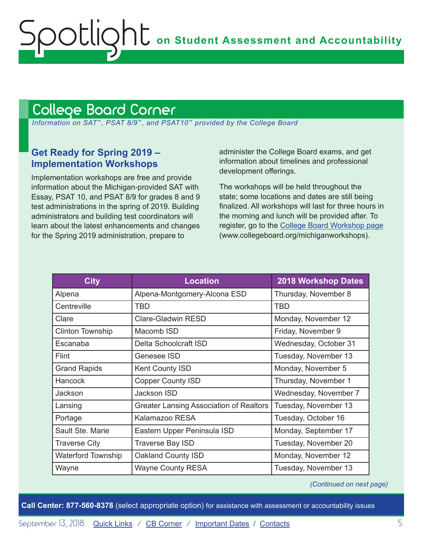# <span id="page-4-1"></span><span id="page-4-0"></span>College Board Corner

 *Information on SAT*™*, PSAT 8/9*™*, and PSAT10*™ *provided by the College Board*

### **Get Ready for Spring 2019 – Implementation Workshops**

Implementation workshops are free and provide information about the Michigan-provided SAT with Essay, PSAT 10, and PSAT 8/9 for grades 8 and 9 test administrations in the spring of 2019. Building administrators and building test coordinators will learn about the latest enhancements and changes for the Spring 2019 administration, prepare to

administer the College Board exams, and get information about timelines and professional development offerings.

The workshops will be held throughout the state; some locations and dates are still being finalized. All workshops will last for three hours in the morning and lunch will be provided after. To register, go to the [College Board Workshop page](http://www.collegeboard.org/michiganworkshops) (www.collegeboard.org/michiganworkshops).

| <b>City</b>               | <b>Location</b>                                | 2018 Workshop Dates   |
|---------------------------|------------------------------------------------|-----------------------|
| Alpena                    | Alpena-Montgomery-Alcona ESD                   | Thursday, November 8  |
| Centreville               | <b>TBD</b>                                     | <b>TBD</b>            |
| Clare                     | <b>Clare-Gladwin RESD</b>                      | Monday, November 12   |
| <b>Clinton Township</b>   | Macomb ISD                                     | Friday, November 9    |
| Escanaba                  | Delta Schoolcraft ISD                          | Wednesday, October 31 |
| <b>Flint</b>              | Genesee ISD                                    | Tuesday, November 13  |
| <b>Grand Rapids</b>       | Kent County ISD                                | Monday, November 5    |
| Hancock                   | <b>Copper County ISD</b>                       | Thursday, November 1  |
| Jackson                   | Jackson ISD                                    | Wednesday, November 7 |
| Lansing                   | <b>Greater Lansing Association of Realtors</b> | Tuesday, November 13  |
| Portage                   | Kalamazoo RESA                                 | Tuesday, October 16   |
| Sault Ste. Marie          | Eastern Upper Peninsula ISD                    | Monday, September 17  |
| <b>Traverse City</b>      | Traverse Bay ISD                               | Tuesday, November 20  |
| <b>Waterford Township</b> | Oakland County ISD                             | Monday, November 12   |
| Wayne                     | <b>Wayne County RESA</b>                       | Tuesday, November 13  |

*(Continued on next page)*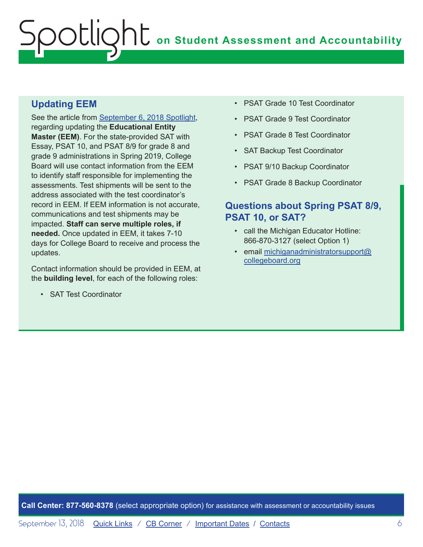### **Updating EEM**

See the article from [September 6, 2018 Spotlight](https://www.michigan.gov/documents/mde/Spotlight_9-6-18_631964_7.pdf), regarding updating the **Educational Entity Master (EEM)**. For the state-provided SAT with Essay, PSAT 10, and PSAT 8/9 for grade 8 and grade 9 administrations in Spring 2019, College Board will use contact information from the EEM to identify staff responsible for implementing the assessments. Test shipments will be sent to the address associated with the test coordinator's record in EEM. If EEM information is not accurate, communications and test shipments may be impacted. **Staff can serve multiple roles, if needed.** Once updated in EEM, it takes 7-10 days for College Board to receive and process the updates.

Contact information should be provided in EEM, at the **building level**, for each of the following roles:

• SAT Test Coordinator

- PSAT Grade 10 Test Coordinator
- PSAT Grade 9 Test Coordinator
- PSAT Grade 8 Test Coordinator
- SAT Backup Test Coordinator
- PSAT 9/10 Backup Coordinator
- PSAT Grade 8 Backup Coordinator

### **Questions about Spring PSAT 8/9, PSAT 10, or SAT?**

- call the Michigan Educator Hotline: 866-870-3127 (select Option 1)
- email [michiganadministratorsupport@](mailto:michiganadministratorsupport%40collegeboard.org?subject=) [collegeboard.org](mailto:michiganadministratorsupport%40collegeboard.org?subject=)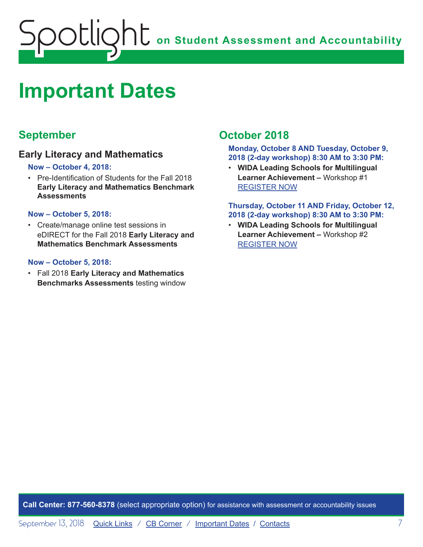<span id="page-6-0"></span>

# <span id="page-6-1"></span>**Important Dates**

# **September**

### **Early Literacy and Mathematics**

#### **Now – October 4, 2018:**

• Pre-Identification of Students for the Fall 2018 **Early Literacy and Mathematics Benchmark Assessments**

#### **Now – October 5, 2018:**

• Create/manage online test sessions in eDIRECT for the Fall 2018 **Early Literacy and Mathematics Benchmark Assessments**

#### **Now – October 5, 2018:**

• Fall 2018 **Early Literacy and Mathematics Benchmarks Assessments** testing window

# **October 2018**

**Monday, October 8 AND Tuesday, October 9, 2018 (2-day workshop) 8:30 AM to 3:30 PM:**

• **WIDA Leading Schools for Multilingual Learner Achievement –** Workshop #1 [REGISTER NOW](https://www.eventbrite.com/e/leading-schools-for-multilingual-learner-achievement-registration-46676636075)

#### **Thursday, October 11 AND Friday, October 12, 2018 (2-day workshop) 8:30 AM to 3:30 PM:**

• **WIDA Leading Schools for Multilingual Learner Achievement –** Workshop #2 [REGISTER NOW](https://www.eventbrite.com/e/leading-schools-for-multilingual-learner-achievement-tickets-46676638081)